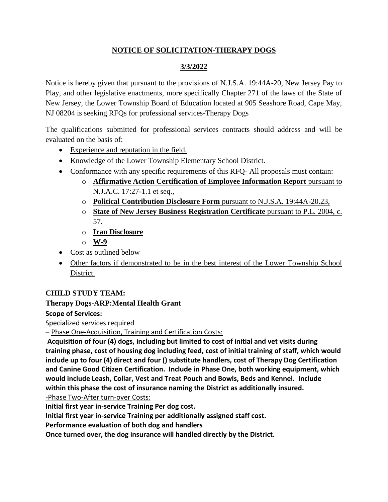## **NOTICE OF SOLICITATION-THERAPY DOGS**

# **3/3/2022**

Notice is hereby given that pursuant to the provisions of N.J.S.A. 19:44A-20, New Jersey Pay to Play, and other legislative enactments, more specifically Chapter 271 of the laws of the State of New Jersey, the Lower Township Board of Education located at 905 Seashore Road, Cape May, NJ 08204 is seeking RFQs for professional services-Therapy Dogs

The qualifications submitted for professional services contracts should address and will be evaluated on the basis of:

- Experience and reputation in the field.
- Knowledge of the Lower Township Elementary School District.
- Conformance with any specific requirements of this RFQ- All proposals must contain:
	- o **Affirmative Action Certification of Employee Information Report** pursuant to N.J.A.C. 17:27-1.1 et seq.,
	- o **Political Contribution Disclosure Form** pursuant to N.J.S.A. 19:44A-20.23,
	- o **State of New Jersey Business Registration Certificate** pursuant to P.L. 2004, c. 57.
	- o **Iran Disclosure**
	- o **W-9**
- Cost as outlined below
- Other factors if demonstrated to be in the best interest of the Lower Township School District.

### **CHILD STUDY TEAM:**

### **Therapy Dogs-ARP:Mental Health Grant**

#### **Scope of Services:**

Specialized services required

– Phase One-Acquisition, Training and Certification Costs:

**Acquisition of four (4) dogs, including but limited to cost of initial and vet visits during training phase, cost of housing dog including feed, cost of initial training of staff, which would include up to four (4) direct and four () substitute handlers, cost of Therapy Dog Certification and Canine Good Citizen Certification. Include in Phase One, both working equipment, which would include Leash, Collar, Vest and Treat Pouch and Bowls, Beds and Kennel. Include within this phase the cost of insurance naming the District as additionally insured.**

-Phase Two-After turn-over Costs:

**Initial first year in-service Training Per dog cost.** 

**Initial first year in-service Training per additionally assigned staff cost.**

**Performance evaluation of both dog and handlers**

**Once turned over, the dog insurance will handled directly by the District.**